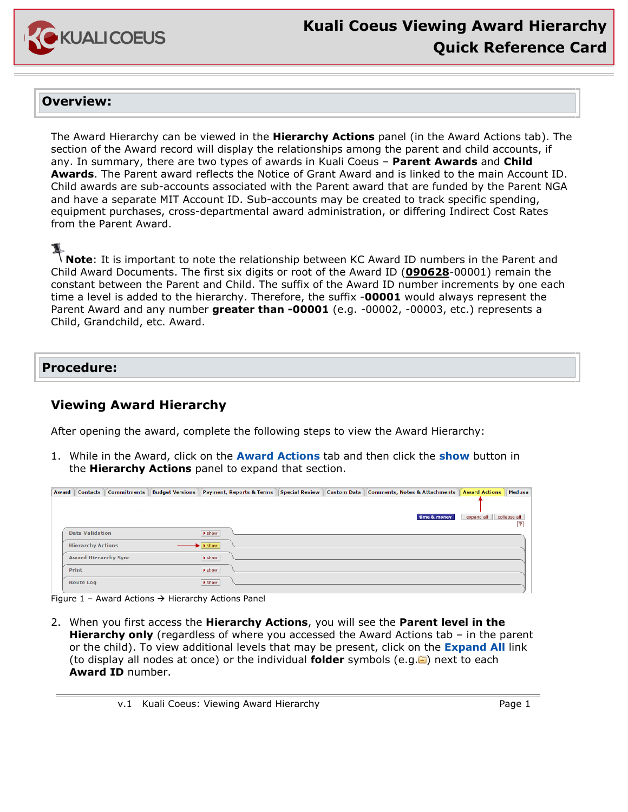

## **Overview:**

The Award Hierarchy can be viewed in the **Hierarchy Actions** panel (in the Award Actions tab). The section of the Award record will display the relationships among the parent and child accounts, if any. In summary, there are two types of awards in Kuali Coeus – **Parent Awards** and **Child Awards**. The Parent award reflects the Notice of Grant Award and is linked to the main Account ID. Child awards are sub-accounts associated with the Parent award that are funded by the Parent NGA and have a separate MIT Account ID. Sub-accounts may be created to track specific spending, equipment purchases, cross-departmental award administration, or differing Indirect Cost Rates from the Parent Award.

**Note**: It is important to note the relationship between KC Award ID numbers in the Parent and Child Award Documents. The first six digits or root of the Award ID (**090628**-00001) remain the constant between the Parent and Child. The suffix of the Award ID number increments by one each time a level is added to the hierarchy. Therefore, the suffix -**00001** would always represent the Parent Award and any number **greater than -00001** (e.g. -00002, -00003, etc.) represents a Child, Grandchild, etc. Award.

# **Procedure:**

# **Viewing Award Hierarchy**

After opening the award, complete the following steps to view the Award Hierarchy:

1. While in the Award, click on the **Award Actions** tab and then click the **show** button in the **Hierarchy Actions** panel to expand that section.

| Award | <b>Contacts</b>          | <b>Commitments</b>          | <b>Budget Versions</b> |                            |  | Payment, Reports & Terms   Special Review   Custom Data   Comments, Notes & Attachments | <b>Award Actions   Medusa</b> |                    |
|-------|--------------------------|-----------------------------|------------------------|----------------------------|--|-----------------------------------------------------------------------------------------|-------------------------------|--------------------|
|       |                          |                             |                        |                            |  |                                                                                         |                               |                    |
|       |                          |                             |                        |                            |  | time & money                                                                            | expand all                    | collapse all<br>13 |
|       | <b>Data Validation</b>   |                             |                        | $\blacktriangleright$ show |  |                                                                                         |                               |                    |
|       | <b>Hierarchy Actions</b> |                             |                        | $\blacktriangleright$ show |  |                                                                                         |                               |                    |
|       |                          | <b>Award Hierarchy Sync</b> |                        | $\blacktriangleright$ show |  |                                                                                         |                               |                    |
|       | Print                    |                             |                        | <b>I</b> show              |  |                                                                                         |                               |                    |
|       | <b>Route Log</b>         |                             |                        | $\blacktriangleright$ show |  |                                                                                         |                               |                    |

Figure 1 – Award Actions  $\rightarrow$  Hierarchy Actions Panel

2. When you first access the **Hierarchy Actions**, you will see the **Parent level in the Hierarchy only** (regardless of where you accessed the Award Actions tab – in the parent or the child). To view additional levels that may be present, click on the **Expand All** link (to display all nodes at once) or the individual **folder** symbols (e.g. ) next to each **Award ID** number.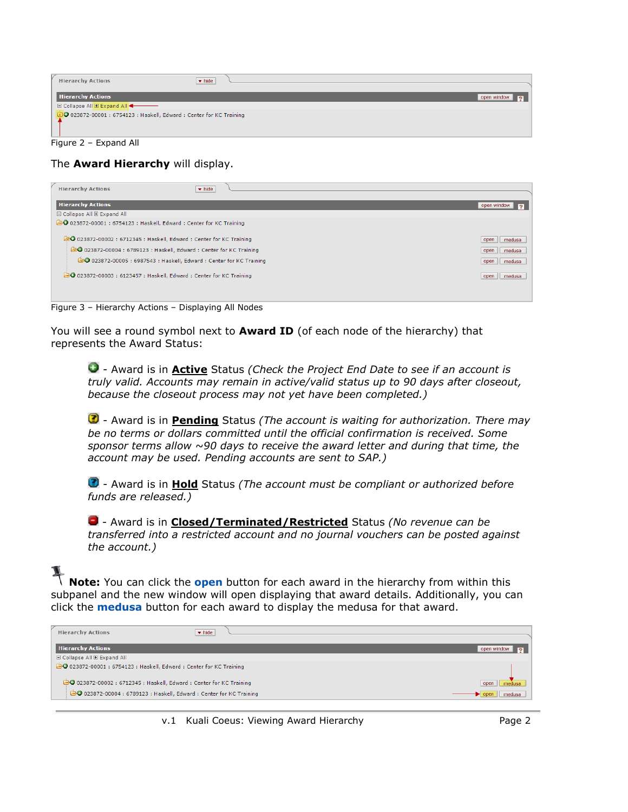|                             | <b>Hierarchy Actions</b><br>$\blacktriangleright$ hide                      |                               |  |  |
|-----------------------------|-----------------------------------------------------------------------------|-------------------------------|--|--|
|                             | <b>Hierarchy Actions</b>                                                    | open window<br>$\overline{2}$ |  |  |
| □ Collapse All □ Expand All |                                                                             |                               |  |  |
|                             | <b>DO</b> 023872-00001 : 6754123 : Haskell, Edward : Center for KC Training |                               |  |  |
|                             | Figure 2 - Expand All                                                       |                               |  |  |

### The **Award Hierarchy** will display.

| <b>Hierarchy Actions</b><br>$\blacktriangleright$ hide                                                                                                                                                              |                                                 |
|---------------------------------------------------------------------------------------------------------------------------------------------------------------------------------------------------------------------|-------------------------------------------------|
| <b>Hierarchy Actions</b>                                                                                                                                                                                            | open window<br>12                               |
| □ Collapse All □ Expand All                                                                                                                                                                                         |                                                 |
| 20 023872-00001 : 6754123 : Haskell, Edward : Center for KC Training                                                                                                                                                |                                                 |
| 20 023872-00002 : 6712345 : Haskell, Edward : Center for KC Training<br>20 023872-00004 : 6789123 : Haskell, Edward : Center for KC Training<br>@ 023872-00005 : 6987543 : Haskell, Edward : Center for KC Training | open   <br>medusa<br>open medusa<br>open medusa |
| 20 023872-00003 : 6123457 : Haskell, Edward : Center for KC Training                                                                                                                                                | open medusa                                     |
|                                                                                                                                                                                                                     |                                                 |

Figure 3 – Hierarchy Actions – Displaying All Nodes

You will see a round symbol next to **Award ID** (of each node of the hierarchy) that represents the Award Status:

- Award is in **Active** Status *(Check the Project End Date to see if an account is truly valid. Accounts may remain in active/valid status up to 90 days after closeout, because the closeout process may not yet have been completed.)*

- Award is in **Pending** Status *(The account is waiting for authorization. There may be no terms or dollars committed until the official confirmation is received. Some sponsor terms allow ~90 days to receive the award letter and during that time, the account may be used. Pending accounts are sent to SAP.)*

- Award is in **Hold** Status *(The account must be compliant or authorized before funds are released.)*

- Award is in **Closed/Terminated/Restricted** Status *(No revenue can be transferred into a restricted account and no journal vouchers can be posted against the account.)*

**Note:** You can click the **open** button for each award in the hierarchy from within this subpanel and the new window will open displaying that award details. Additionally, you can click the **medusa** button for each award to display the medusa for that award.

| <b>Hierarchy Actions</b><br>$\blacktriangleright$ hide               |                |
|----------------------------------------------------------------------|----------------|
| <b>Hierarchy Actions</b>                                             | open window    |
| □ Collapse All □ Expand All                                          |                |
| @ 023872-00001 : 6754123 : Haskell, Edward : Center for KC Training  |                |
| 20 023872-00002 : 6712345 : Haskell, Edward : Center for KC Training | open           |
| 20 023872-00004 : 6789123 : Haskell, Edward : Center for KC Training | medusa<br>open |
|                                                                      |                |